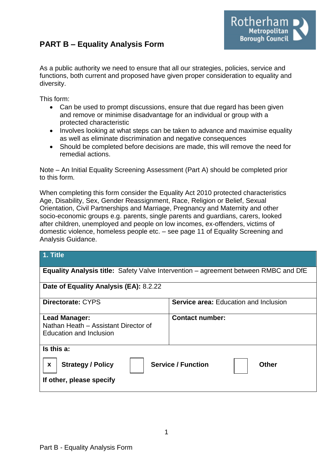# **PART B – Equality Analysis Form**



As a public authority we need to ensure that all our strategies, policies, service and functions, both current and proposed have given proper consideration to equality and diversity.

This form:

- Can be used to prompt discussions, ensure that due regard has been given and remove or minimise disadvantage for an individual or group with a protected characteristic
- Involves looking at what steps can be taken to advance and maximise equality as well as eliminate discrimination and negative consequences
- Should be completed before decisions are made, this will remove the need for remedial actions.

Note – An Initial Equality Screening Assessment (Part A) should be completed prior to this form.

When completing this form consider the Equality Act 2010 protected characteristics Age, Disability, Sex, Gender Reassignment, Race, Religion or Belief, Sexual Orientation, Civil Partnerships and Marriage, Pregnancy and Maternity and other socio-economic groups e.g. parents, single parents and guardians, carers, looked after children, unemployed and people on low incomes, ex-offenders, victims of domestic violence, homeless people etc. – see page 11 of Equality Screening and Analysis Guidance.

| 1. Title                                                                                               |                                              |  |
|--------------------------------------------------------------------------------------------------------|----------------------------------------------|--|
| <b>Equality Analysis title:</b> Safety Valve Intervention – agreement between RMBC and DfE             |                                              |  |
| Date of Equality Analysis (EA): 8.2.22                                                                 |                                              |  |
| <b>Directorate: CYPS</b>                                                                               | <b>Service area: Education and Inclusion</b> |  |
| Lead Manager:<br>Nathan Heath - Assistant Director of<br>Education and Inclusion                       | <b>Contact number:</b>                       |  |
| Is this a:                                                                                             |                                              |  |
| <b>Service / Function</b><br><b>Strategy / Policy</b><br><b>Other</b><br>X<br>If other, please specify |                                              |  |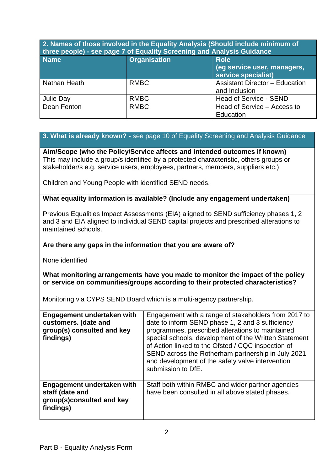## **2. Names of those involved in the Equality Analysis (Should include minimum of three people) - see page 7 of Equality Screening and Analysis Guidance**

| <b>Name</b>  | <b>Organisation</b> | <b>Role</b><br>(eg service user, managers,<br>service specialist) |
|--------------|---------------------|-------------------------------------------------------------------|
| Nathan Heath | <b>RMBC</b>         | <b>Assistant Director - Education</b><br>and Inclusion            |
| Julie Day    | <b>RMBC</b>         | Head of Service - SEND                                            |
| Dean Fenton  | <b>RMBC</b>         | Head of Service – Access to<br>Education                          |

## **3. What is already known? -** see page 10 of Equality Screening and Analysis Guidance

**Aim/Scope (who the Policy/Service affects and intended outcomes if known)** This may include a group/s identified by a protected characteristic, others groups or stakeholder/s e.g. service users, employees, partners, members, suppliers etc.)

Children and Young People with identified SEND needs.

### **What equality information is available? (Include any engagement undertaken)**

Previous Equalities Impact Assessments (EIA) aligned to SEND sufficiency phases 1, 2 and 3 and EIA aligned to individual SEND capital projects and prescribed alterations to maintained schools.

## **Are there any gaps in the information that you are aware of?**

None identified

#### **What monitoring arrangements have you made to monitor the impact of the policy or service on communities/groups according to their protected characteristics?**

Monitoring via CYPS SEND Board which is a multi-agency partnership.

| Engagement undertaken with<br>customers. (date and<br>group(s) consulted and key<br>findings) | Engagement with a range of stakeholders from 2017 to<br>date to inform SEND phase 1, 2 and 3 sufficiency<br>programmes, prescribed alterations to maintained<br>special schools, development of the Written Statement<br>of Action linked to the Ofsted / CQC inspection of<br>SEND across the Rotherham partnership in July 2021<br>and development of the safety valve intervention<br>submission to DfE. |
|-----------------------------------------------------------------------------------------------|-------------------------------------------------------------------------------------------------------------------------------------------------------------------------------------------------------------------------------------------------------------------------------------------------------------------------------------------------------------------------------------------------------------|
| Engagement undertaken with<br>staff (date and<br>group(s)consulted and key<br>findings)       | Staff both within RMBC and wider partner agencies<br>have been consulted in all above stated phases.                                                                                                                                                                                                                                                                                                        |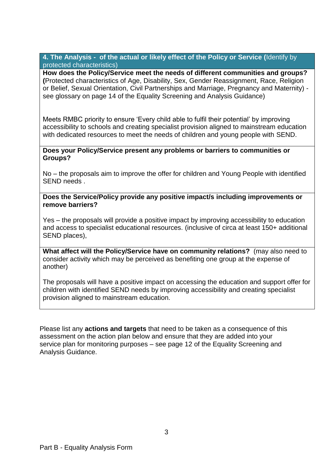**4. The Analysis - of the actual or likely effect of the Policy or Service (**Identify by protected characteristics)

**How does the Policy/Service meet the needs of different communities and groups? (**Protected characteristics of Age, Disability, Sex, Gender Reassignment, Race, Religion or Belief, Sexual Orientation, Civil Partnerships and Marriage, Pregnancy and Maternity) see glossary on page 14 of the Equality Screening and Analysis Guidance)

Meets RMBC priority to ensure 'Every child able to fulfil their potential' by improving accessibility to schools and creating specialist provision aligned to mainstream education with dedicated resources to meet the needs of children and young people with SEND.

#### **Does your Policy/Service present any problems or barriers to communities or Groups?**

No – the proposals aim to improve the offer for children and Young People with identified SEND needs .

#### **Does the Service/Policy provide any positive impact/s including improvements or remove barriers?**

Yes – the proposals will provide a positive impact by improving accessibility to education and access to specialist educational resources. (inclusive of circa at least 150+ additional SEND places),

**What affect will the Policy/Service have on community relations?** (may also need to consider activity which may be perceived as benefiting one group at the expense of another)

The proposals will have a positive impact on accessing the education and support offer for children with identified SEND needs by improving accessibility and creating specialist provision aligned to mainstream education.

Please list any **actions and targets** that need to be taken as a consequence of this assessment on the action plan below and ensure that they are added into your service plan for monitoring purposes – see page 12 of the Equality Screening and Analysis Guidance.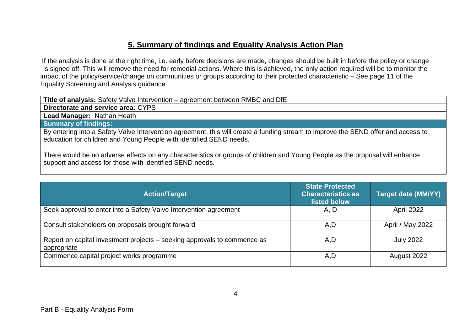# **5. Summary of findings and Equality Analysis Action Plan**

If the analysis is done at the right time, i.e. early before decisions are made, changes should be built in before the policy or change is signed off. This will remove the need for remedial actions. Where this is achieved, the only action required will be to monitor the impact of the policy/service/change on communities or groups according to their protected characteristic – See page 11 of the Equality Screening and Analysis guidance

**Title of analysis:** Safety Valve Intervention – agreement between RMBC and DfE

**Directorate and service area:** CYPS

**Lead Manager:** Nathan Heath

**Summary of findings:**

By entering into a Safety Valve Intervention agreement, this will create a funding stream to improve the SEND offer and access to education for children and Young People with identified SEND needs.

There would be no adverse effects on any characteristics or groups of children and Young People as the proposal will enhance support and access for those with identified SEND needs.

| <b>Action/Target</b>                                                                    | <b>State Protected</b><br><b>Characteristics as</b><br>listed below | <b>Target date (MM/YY)</b> |
|-----------------------------------------------------------------------------------------|---------------------------------------------------------------------|----------------------------|
| Seek approval to enter into a Safety Valve Intervention agreement                       | A, D                                                                | April 2022                 |
| Consult stakeholders on proposals brought forward                                       | A, D                                                                | April / May 2022           |
| Report on capital investment projects – seeking approvals to commence as<br>appropriate | A, D                                                                | <b>July 2022</b>           |
| Commence capital project works programme                                                | A, D                                                                | August 2022                |